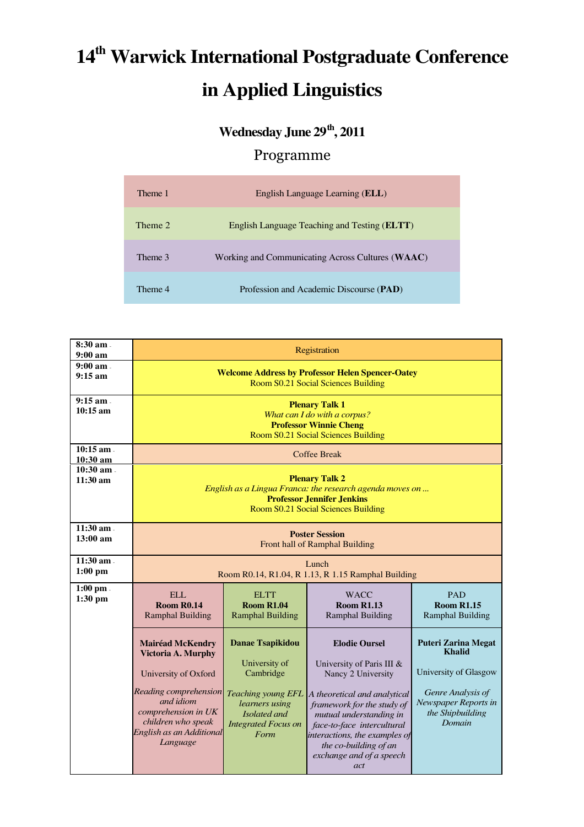## **14th Warwick International Postgraduate Conference in Applied Linguistics**

## **Wednesday June 29th, 2011**

## Programme

| Theme 1 | English Language Learning (ELL)                       |
|---------|-------------------------------------------------------|
| Theme 2 | English Language Teaching and Testing ( <b>ELTT</b> ) |
| Theme 3 | Working and Communicating Across Cultures (WAAC)      |
| Theme 4 | Profession and Academic Discourse (PAD)               |

| $8:30$ am.<br>9:00 a <sub>m</sub>        | Registration                                                                                                                                                                                     |                                                                                                                                                            |                                                                                                                                                                                                                                                                                             |                                                                                                                                                 |  |
|------------------------------------------|--------------------------------------------------------------------------------------------------------------------------------------------------------------------------------------------------|------------------------------------------------------------------------------------------------------------------------------------------------------------|---------------------------------------------------------------------------------------------------------------------------------------------------------------------------------------------------------------------------------------------------------------------------------------------|-------------------------------------------------------------------------------------------------------------------------------------------------|--|
| $9:00 \text{ am}$ .<br>$9:15 \text{ am}$ | <b>Welcome Address by Professor Helen Spencer-Oatey</b><br>Room S0.21 Social Sciences Building                                                                                                   |                                                                                                                                                            |                                                                                                                                                                                                                                                                                             |                                                                                                                                                 |  |
| $9:15$ am.<br>$10:15 \text{ am}$         | <b>Plenary Talk 1</b><br>What can I do with a corpus?<br><b>Professor Winnie Cheng</b><br>Room S0.21 Social Sciences Building                                                                    |                                                                                                                                                            |                                                                                                                                                                                                                                                                                             |                                                                                                                                                 |  |
| $10:15$ am $-$<br>10:30 am               | <b>Coffee Break</b>                                                                                                                                                                              |                                                                                                                                                            |                                                                                                                                                                                                                                                                                             |                                                                                                                                                 |  |
| 10:30 am .<br>11:30 am                   | <b>Plenary Talk 2</b><br>English as a Lingua Franca: the research agenda moves on<br><b>Professor Jennifer Jenkins</b><br>Room S0.21 Social Sciences Building                                    |                                                                                                                                                            |                                                                                                                                                                                                                                                                                             |                                                                                                                                                 |  |
| $11:30$ am.<br>$13:00$ am                | <b>Poster Session</b><br>Front hall of Ramphal Building                                                                                                                                          |                                                                                                                                                            |                                                                                                                                                                                                                                                                                             |                                                                                                                                                 |  |
| $11:30$ am.<br>$1:00$ pm                 | Lunch<br>Room R0.14, R1.04, R 1.13, R 1.15 Ramphal Building                                                                                                                                      |                                                                                                                                                            |                                                                                                                                                                                                                                                                                             |                                                                                                                                                 |  |
| $1:00$ pm.<br>$1:30$ pm                  | <b>ELL</b><br><b>Room R0.14</b><br><b>Ramphal Building</b>                                                                                                                                       | <b>ELTT</b><br><b>Room R1.04</b><br><b>Ramphal Building</b>                                                                                                | <b>WACC</b><br><b>Room R1.13</b><br><b>Ramphal Building</b>                                                                                                                                                                                                                                 | <b>PAD</b><br><b>Room R1.15</b><br><b>Ramphal Building</b>                                                                                      |  |
|                                          | <b>Mairéad McKendry</b><br>Victoria A. Murphy<br>University of Oxford<br>Reading comprehension<br>and idiom<br>comprehension in UK<br>children who speak<br>English as an Additional<br>Language | <b>Danae Tsapikidou</b><br>University of<br>Cambridge<br><b>Teaching young EFL</b><br>learners using<br>Isolated and<br><b>Integrated Focus on</b><br>Form | <b>Elodie Oursel</b><br>University of Paris III &<br>Nancy 2 University<br>A theoretical and analytical<br>framework for the study of<br>mutual understanding in<br>face-to-face intercultural<br>interactions, the examples of<br>the co-building of an<br>exchange and of a speech<br>act | <b>Puteri Zarina Megat</b><br><b>Khalid</b><br>University of Glasgow<br>Genre Analysis of<br>Newspaper Reports in<br>the Shipbuilding<br>Domain |  |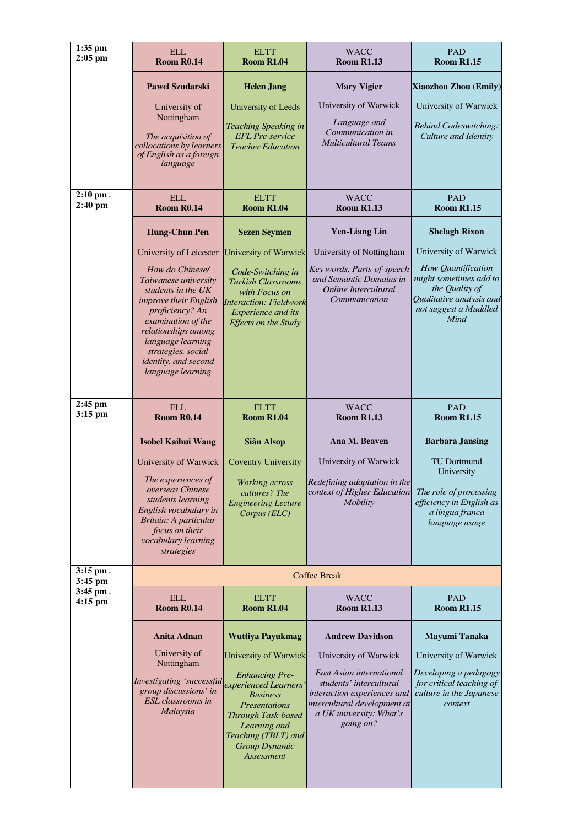| $1:35$ pm.<br>$2:05$ pm | <b>ELL</b><br><b>Room R0.14</b>                                                                                                                                                                   | <b>ELTT</b><br><b>Room R1.04</b>                                                                                                                                                             | <b>WACC</b><br><b>Room R1.13</b>                                                                                                                           | <b>PAD</b><br><b>Room R1.15</b>                                                                                             |
|-------------------------|---------------------------------------------------------------------------------------------------------------------------------------------------------------------------------------------------|----------------------------------------------------------------------------------------------------------------------------------------------------------------------------------------------|------------------------------------------------------------------------------------------------------------------------------------------------------------|-----------------------------------------------------------------------------------------------------------------------------|
|                         | <b>Paweł Szudarski</b>                                                                                                                                                                            | <b>Helen Jang</b>                                                                                                                                                                            | <b>Mary Vigier</b>                                                                                                                                         | <b>Xiaozhou Zhou (Emily)</b>                                                                                                |
|                         | University of<br>Nottingham                                                                                                                                                                       | University of Leeds<br><b>Teaching Speaking in</b>                                                                                                                                           | University of Warwick<br>Language and                                                                                                                      | University of Warwick<br><b>Behind Codeswitching:</b>                                                                       |
|                         | The acquisition of<br>collocations by learners<br>of English as a foreign<br>language                                                                                                             | <b>EFL</b> Pre-service<br><b>Teacher Education</b>                                                                                                                                           | Communication in<br><b>Multicultural Teams</b>                                                                                                             | Culture and Identity                                                                                                        |
| $2:10$ pm.<br>$2:40$ pm | <b>ELL</b><br><b>Room R0.14</b>                                                                                                                                                                   | <b>ELTT</b><br><b>Room R1.04</b>                                                                                                                                                             | <b>WACC</b><br><b>Room R1.13</b>                                                                                                                           | <b>PAD</b><br><b>Room R1.15</b>                                                                                             |
|                         | <b>Hung-Chun Pen</b>                                                                                                                                                                              | <b>Sezen Seymen</b>                                                                                                                                                                          | <b>Yen-Liang Lin</b>                                                                                                                                       | <b>Shelagh Rixon</b>                                                                                                        |
|                         | University of Leicester                                                                                                                                                                           | <b>University of Warwick</b>                                                                                                                                                                 | University of Nottingham                                                                                                                                   | University of Warwick                                                                                                       |
|                         | How do Chinese/<br>Taiwanese university<br>students in the UK<br>improve their English<br>proficiency? An<br>examination of the<br>relationships among<br>language learning<br>strategies, social | Code-Switching in<br><b>Turkish Classrooms</b><br>with Focus on<br><b>Interaction: Fieldwork</b><br><b>Experience</b> and its<br><b>Effects on the Study</b>                                 | Key words, Parts-of-speech<br>and Semantic Domains in<br>Online Intercultural<br>Communication                                                             | How Quantification<br>might sometimes add to<br>the Quality of<br>Qualitative analysis and<br>not suggest a Muddled<br>Mind |
|                         | identity, and second<br>language learning                                                                                                                                                         |                                                                                                                                                                                              |                                                                                                                                                            |                                                                                                                             |
| $2:45$ pm.<br>$3:15$ pm | <b>ELL</b><br><b>Room R0.14</b>                                                                                                                                                                   | <b>ELTT</b><br><b>Room R1.04</b>                                                                                                                                                             | <b>WACC</b><br><b>Room R1.13</b>                                                                                                                           | <b>PAD</b><br><b>Room R1.15</b>                                                                                             |
|                         | <b>Isobel Kaihui Wang</b>                                                                                                                                                                         | Siân Alsop                                                                                                                                                                                   | Ana M. Beaven                                                                                                                                              | <b>Barbara Jansing</b>                                                                                                      |
|                         | University of Warwick                                                                                                                                                                             | <b>Coventry University</b>                                                                                                                                                                   | University of Warwick                                                                                                                                      | <b>TU Dortmund</b><br>University                                                                                            |
|                         | The experiences of<br>overseas Chinese<br>students learning<br>English vocabulary in<br>Britain: A particular<br><i>focus on their</i><br>vocabulary learning<br>strategies                       | <b>Working</b> across<br>cultures? The<br><b>Engineering Lecture</b><br>Corpus (ELC)                                                                                                         | Redefining adaptation in the<br>context of Higher Education<br><i>Mobility</i>                                                                             | The role of processing<br>efficiency in English as<br>a lingua franca<br>language usage                                     |
| $3:15$ pm.<br>3:45 pm   |                                                                                                                                                                                                   |                                                                                                                                                                                              | <b>Coffee Break</b>                                                                                                                                        |                                                                                                                             |
| 3:45 pm.<br>$4:15$ pm   | <b>ELL</b><br><b>Room R0.14</b>                                                                                                                                                                   | <b>ELTT</b><br><b>Room R1.04</b>                                                                                                                                                             | <b>WACC</b><br><b>Room R1.13</b>                                                                                                                           | <b>PAD</b><br><b>Room R1.15</b>                                                                                             |
|                         | <b>Anita Adnan</b>                                                                                                                                                                                | <b>Wuttiya Payukmag</b>                                                                                                                                                                      | <b>Andrew Davidson</b>                                                                                                                                     | Mayumi Tanaka                                                                                                               |
|                         | University of<br>Nottingham                                                                                                                                                                       | <b>University of Warwick</b>                                                                                                                                                                 | University of Warwick                                                                                                                                      | University of Warwick                                                                                                       |
|                         | Investigating 'successful<br>group discussions' in<br>ESL classrooms in<br>Malaysia                                                                                                               | <b>Enhancing Pre-</b><br>experienced Learners'<br><b>Business</b><br><b>Presentations</b><br><b>Through Task-based</b><br>Learning and<br>Teaching (TBLT) and<br>Group Dynamic<br>Assessment | East Asian international<br>students' intercultural<br>interaction experiences and<br>intercultural development at<br>a UK university: What's<br>going on? | Developing a pedagogy<br>for critical teaching of<br>culture in the Japanese<br>context                                     |